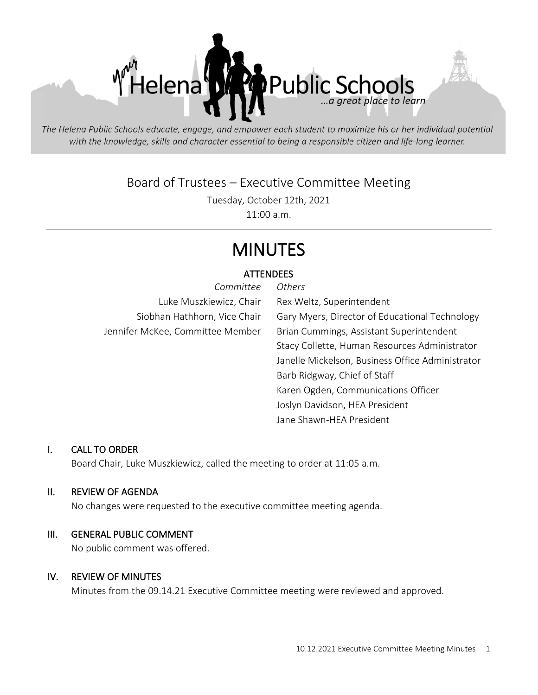

The Helena Public Schools educate, engage, and empower each student to maximize his or her individual potential with the knowledge, skills and character essential to being a responsible citizen and life-long learner.

Board of Trustees – Executive Committee Meeting

Tuesday, October 12th, 2021

11:00 a.m.

# MINUTES

### **ATTENDEES**

| Committee                        | Others                                           |
|----------------------------------|--------------------------------------------------|
| Luke Muszkiewicz, Chair          | Rex Weltz, Superintendent                        |
| Siobhan Hathhorn, Vice Chair     | Gary Myers, Director of Educational Technology   |
| Jennifer McKee, Committee Member | Brian Cummings, Assistant Superintendent         |
|                                  | Stacy Collette, Human Resources Administrator    |
|                                  | Janelle Mickelson, Business Office Administrator |
|                                  | Barb Ridgway, Chief of Staff                     |
|                                  | Karen Ogden, Communications Officer              |
|                                  | Joslyn Davidson, HEA President                   |
|                                  | Jane Shawn-HEA President                         |

#### I. CALL TO ORDER

Board Chair, Luke Muszkiewicz, called the meeting to order at 11:05 a.m.

#### II. REVIEW OF AGENDA

No changes were requested to the executive committee meeting agenda.

#### III. GENERAL PUBLIC COMMENT

No public comment was offered.

#### IV. REVIEW OF MINUTES

Minutes from the 09.14.21 Executive Committee meeting were reviewed and approved.